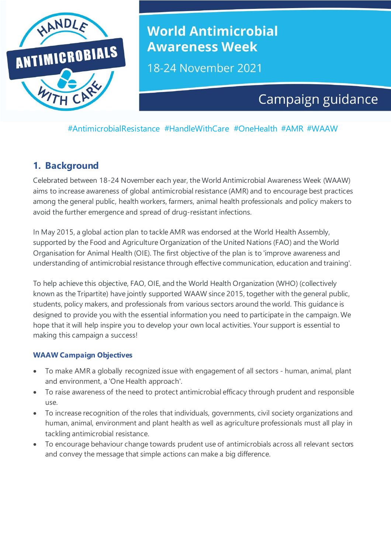

# **World Antimicrobial Awareness Week**

18-24 November 2021

# Campaign guidance

#AntimicrobialResistance #HandleWithCare #OneHealth #AMR #WAAW

### **1. Background**

Celebrated between 18-24 November each year, the World Antimicrobial Awareness Week (WAAW) aims to increase awareness of global antimicrobial resistance (AMR) and to encourage best practices among the general public, health workers, farmers, animal health professionals and policy makers to avoid the further emergence and spread of drug-resistant infections.

In May 2015, a global action plan to tackle AMR was endorsed at the World Health Assembly, supported by the Food and Agriculture Organization of the United Nations (FAO) and the World Organisation for Animal Health (OIE). The first objective of the plan is to 'improve awareness and understanding of antimicrobial resistance through effective communication, education and training'.

To help achieve this objective, FAO, OIE, and the World Health Organization (WHO) (collectively known as the Tripartite) have jointly supported WAAW since 2015, together with the general public, students, policy makers, and professionals from various sectors around the world. This guidance is designed to provide you with the essential information you need to participate in the campaign. We hope that it will help inspire you to develop your own local activities. Your support is essential to making this campaign a success!

#### **WAAW Campaign Objectives**

- To make AMR a globally recognized issue with engagement of all sectors human, animal, plant and environment, a 'One Health approach'.
- To raise awareness of the need to protect antimicrobial efficacy through prudent and responsible use.
- To increase recognition of the roles that individuals, governments, civil society organizations and human, animal, environment and plant health as well as agriculture professionals must all play in tackling antimicrobial resistance.
- To encourage behaviour change towards prudent use of antimicrobials across all relevant sectors and convey the message that simple actions can make a big difference.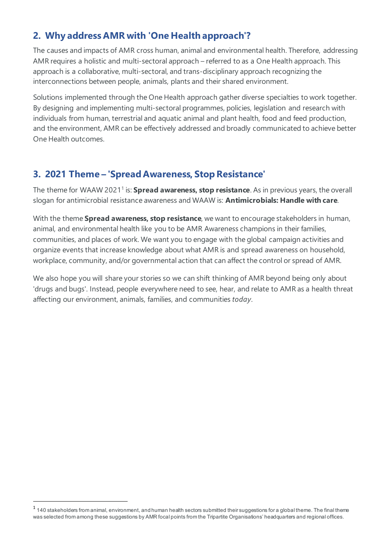# **2. Why address AMR with 'One Health approach'?**

The causes and impacts of AMR cross human, animal and environmental health. Therefore, addressing AMR requires a holistic and multi-sectoral approach – referred to as a One Health approach. This approach is a collaborative, multi-sectoral, and trans-disciplinary approach recognizing the interconnections between people, animals, plants and their shared environment.

Solutions implemented through the One Health approach gather diverse specialties to work together. By designing and implementing multi-sectoral programmes, policies, legislation and research with individuals from human, terrestrial and aquatic animal and plant health, food and feed production, and the environment, AMR can be effectively addressed and broadly communicated to achieve better One Health outcomes.

# **3. 2021 Theme – 'Spread Awareness, StopResistance'**

The theme for WAAW 20211 is: **Spread awareness, stop resistance**. As in previous years, the overall slogan for antimicrobial resistance awareness and WAAW is: **Antimicrobials: Handle with care**.

With the theme **Spread awareness, stop resistance**, we want to encourage stakeholders in human, animal, and environmental health like you to be AMR Awareness champions in their families, communities, and places of work. We want you to engage with the global campaign activities and organize events that increase knowledge about what AMR is and spread awareness on household, workplace, community, and/or governmental action that can affect the control or spread of AMR.

We also hope you will share your stories so we can shift thinking of AMR beyond being only about 'drugs and bugs'. Instead, people everywhere need to see, hear, and relate to AMR as a health threat affecting our environment, animals, families, and communities *today*.

 $1140$  stakeholders from animal, environment, and human health sectors submitted their suggestions for a global theme. The final theme was selected from among these suggestions by AMR focal points from the Tripartite Organisations' headquarters and regional offices.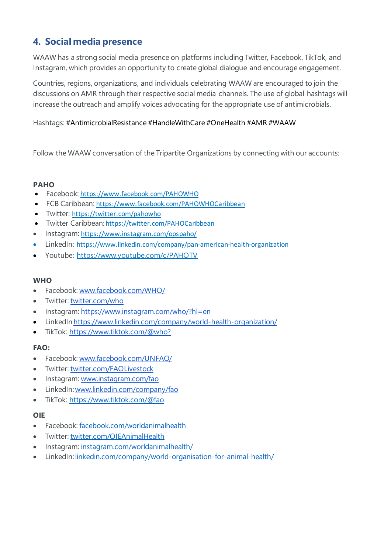## **4. Social media presence**

WAAW has a strong social media presence on platforms including Twitter, Facebook, TikTok, and Instagram, which provides an opportunity to create global dialogue and encourage engagement.

Countries, regions, organizations, and individuals celebrating WAAW are encouraged to join the discussions on AMR through their respective social media channels. The use of global hashtags will increase the outreach and amplify voices advocating for the appropriate use of antimicrobials.

Hashtags: #AntimicrobialResistance #HandleWithCare #OneHealth #AMR #WAAW

Follow the WAAW conversation of the Tripartite Organizations by connecting with our accounts:

#### **PAHO**

- Facebook: <https://www.facebook.com/PAHOWHO>
- FCB Caribbean: <https://www.facebook.com/PAHOWHOCaribbean>
- Twitter: <https://twitter.com/pahowho>
- Twitter Caribbean: <https://twitter.com/PAHOCaribbean>
- Instagram: <https://www.instagram.com/opspaho/>
- LinkedIn: <https://www.linkedin.com/company/pan-american-health-organization>
- Youtube: <https://www.youtube.com/c/PAHOTV>

#### **WHO**

- Facebook: [www.facebook.com/WHO/](http://www.facebook.com/WHO/)
- Twitter: [twitter.com/who](https://twitter.com/who)
- Instagram: <https://www.instagram.com/who/?hl=en>
- LinkedIn <https://www.linkedin.com/company/world-health-organization/>
- TikTok: [https://www.tiktok.com/@who?](https://www.tiktok.com/%40who)

#### **FAO:**

- Facebook: [www.facebook.com/UNFAO/](https://www.facebook.com/UNFAO/)
- Twitter: [twitter.com/FAOLivestock](https://twitter.com/FAOLivestock)
- Instagram: [www.instagram.com/fao](https://www.instagram.com/fao)
- LinkedIn[:www.linkedin.com/company/fao](https://www.linkedin.com/company/fao)
- TikTok: [https://www.tiktok.com/@fao](https://www.tiktok.com/%40fao)

#### **OIE**

- Facebook: [facebook.com/worldanimalhealth](https://www.facebook.com/worldanimalhealth)
- Twitter: [twitter.com/OIEAnimalHealth](https://twitter.com/OIEAnimalHealth)
- Instagram: [instagram.com/worldanimalhealth/](https://www.instagram.com/worldanimalhealth/)
- LinkedIn: [linkedin.com/company/world-organisation-for-animal-health/](https://www.linkedin.com/company/world-organisation-for-animal-health/)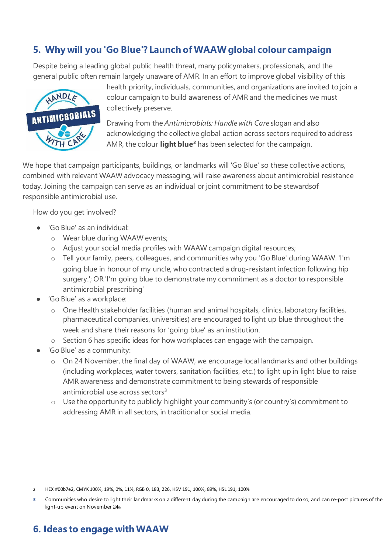# **5. Why will you 'Go Blue'? Launch of WAAWglobal colour campaign**

Despite being a leading global public health threat, many policymakers, professionals, and the general public often remain largely unaware of AMR. In an effort to improve global visibility of this



health priority, individuals, communities, and organizations are invited to join a colour campaign to build awareness of AMR and the medicines we must collectively preserve.

Drawing from the *Antimicrobials: Handle with Care* slogan and also acknowledging the collective global action across sectors required to address AMR, the colour **light blue2** has been selected for the campaign.

We hope that campaign participants, buildings, or landmarks will 'Go Blue' so these collective actions, combined with relevant WAAW advocacy messaging, will raise awareness about antimicrobial resistance today. Joining the campaign can serve as an individual or joint commitment to be stewardsof responsible antimicrobial use.

How do you get involved?

- 'Go Blue' as an individual:
	- o Wear blue during WAAW events;
	- o Adjust your social media profiles with WAAW campaign digital resources;
	- o Tell your family, peers, colleagues, and communities why you 'Go Blue' during WAAW. 'I'm going blue in honour of my uncle, who contracted a drug-resistant infection following hip surgery.'; OR 'I'm going blue to demonstrate my commitment as a doctor to responsible antimicrobial prescribing'
- 'Go Blue' as a workplace:
	- o One Health stakeholder facilities (human and animal hospitals, clinics, laboratory facilities, pharmaceutical companies, universities) are encouraged to light up blue throughout the week and share their reasons for 'going blue' as an institution.
	- o Section 6 has specific ideas for how workplaces can engage with the campaign.
- 'Go Blue' as a community:
	- o On 24 November, the final day of WAAW, we encourage local landmarks and other buildings (including workplaces, water towers, sanitation facilities, etc.) to light up in light blue to raise AMR awareness and demonstrate commitment to being stewards of responsible antimicrobial use across sectors $3$
	- o Use the opportunity to publicly highlight your community's (or country's) commitment to addressing AMR in all sectors, in traditional or social media.

# **6. Ideas to engage with WAAW**

<sup>2</sup> HEX #00b7e2, CMYK 100%, 19%, 0%, 11%, RGB 0, 183, 226, HSV 191, 100%, 89%, HSL 191, 100%

**<sup>3</sup>** Communities who desire to light their landmarks on a different day during the campaign are encouraged to do so, and can re-post pictures of the light-up event on November 24th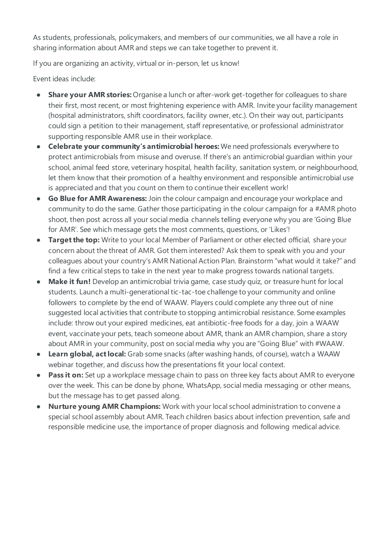As students, professionals, policymakers, and members of our communities, we all have a role in sharing information about AMR and steps we can take together to prevent it.

If you are organizing an activity, virtual or in-person, let us know!

Event ideas include:

- **Share your AMR stories:** Organise a lunch or after-work get-together for colleagues to share their first, most recent, or most frightening experience with AMR. Invite your facility management (hospital administrators, shift coordinators, facility owner, etc.). On their way out, participants could sign a petition to their management, staff representative, or professional administrator supporting responsible AMR use in their workplace.
- **Celebrate your community's antimicrobial heroes:** We need professionals everywhere to protect antimicrobials from misuse and overuse. If there's an antimicrobial guardian within your school, animal feed store, veterinary hospital, health facility, sanitation system, or neighbourhood, let them know that their promotion of a healthy environment and responsible antimicrobial use is appreciated and that you count on them to continue their excellent work!
- **Go Blue for AMR Awareness:** Join the colour campaign and encourage your workplace and community to do the same. Gather those participating in the colour campaign for a #AMR photo shoot, then post across all your social media channels telling everyone why you are 'Going Blue for AMR'. See which message gets the most comments, questions, or 'Likes'!
- **Target the top:** Write to your local Member of Parliament or other elected official, share your concern about the threat of AMR. Got them interested? Ask them to speak with you and your colleagues about your country's AMR National Action Plan. Brainstorm "what would it take?" and find a few critical steps to take in the next year to make progress towards national targets.
- **Make it fun!** Develop an antimicrobial trivia game, case study quiz, or treasure hunt for local students. Launch a multi-generational tic-tac-toe challenge to your community and online followers to complete by the end of WAAW. Players could complete any three out of nine suggested local activities that contribute to stopping antimicrobial resistance. Some examples include: throw out your expired medicines, eat antibiotic-free foods for a day, join a WAAW event, vaccinate your pets, teach someone about AMR, thank an AMR champion, share a story about AMR in your community, post on social media why you are "Going Blue" with #WAAW.
- **Learn global, act local:** Grab some snacks (after washing hands, of course), watch a WAAW webinar together, and discuss how the presentations fit your local context.
- **Pass it on:** Set up a workplace message chain to pass on three key facts about AMR to everyone over the week. This can be done by phone, WhatsApp, social media messaging or other means, but the message has to get passed along.
- **Nurture young AMR Champions:** Work with your local school administration to convene a special school assembly about AMR. Teach children basics about infection prevention, safe and responsible medicine use, the importance of proper diagnosis and following medical advice.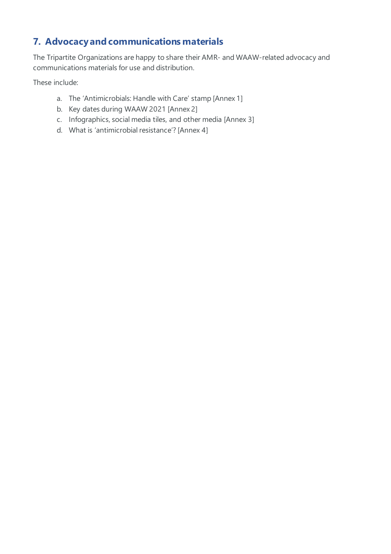# **7. Advocacyand communications materials**

The Tripartite Organizations are happy to share their AMR- and WAAW-related advocacy and communications materials for use and distribution.

These include:

- a. The 'Antimicrobials: Handle with Care' stamp [Annex 1]
- b. Key dates during WAAW 2021 [Annex 2]
- c. Infographics, social media tiles, and other media [Annex 3]
- d. What is 'antimicrobial resistance'? [Annex 4]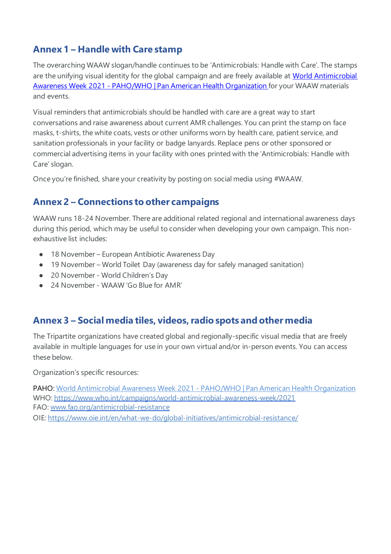### **Annex 1 – Handle with Care stamp**

The overarching WAAW slogan/handle continues to be 'Antimicrobials: Handle with Care'. The stamps are the unifying visual identity for the global campaign and are freely available at World Antimicrobial Awareness Week 2021 - [PAHO/WHO | Pan American Health Organization](https://www.paho.org/en/campaigns/world-antimicrobial-awareness-week-2021) for your WAAW materials and events.

Visual reminders that antimicrobials should be handled with care are a great way to start conversations and raise awareness about current AMR challenges. You can print the stamp on face masks, t-shirts, the white coats, vests or other uniforms worn by health care, patient service, and sanitation professionals in your facility or badge lanyards. Replace pens or other sponsored or commercial advertising items in your facility with ones printed with the 'Antimicrobials: Handle with Care' slogan.

Once you're finished, share your creativity by posting on social media using #WAAW.

### **Annex 2 – Connections to other campaigns**

WAAW runs 18-24 November. There are additional related regional and international awareness days during this period, which may be useful to consider when developing your own campaign. This nonexhaustive list includes:

- 18 November European Antibiotic Awareness Day
- 19 November World Toilet Day (awareness day for safely managed sanitation)
- 20 November World Children's Day
- 24 November WAAW 'Go Blue for AMR'

### **Annex 3 – Social media tiles, videos, radio spots and other media**

The Tripartite organizations have created global and regionally-specific visual media that are freely available in multiple languages for use in your own virtual and/or in-person events. You can access these below.

Organization's specific resources:

PAHO: World Antimicrobial Awareness Week 2021 - [PAHO/WHO | Pan American Health Organization](https://www.paho.org/en/campaigns/world-antimicrobial-awareness-week-2021) WHO: <https://www.who.int/campaigns/world-antimicrobial-awareness-week/2021> FAO: [www.fao.org/antimicrobial-resistance](http://www.fao.org/antimicrobial-resistance/en/) OIE[: https://www.oie.int/en/what-we-do/global-initiatives/antimicrobial-resistance/](https://www.oie.int/en/what-we-do/global-initiatives/antimicrobial-resistance/)